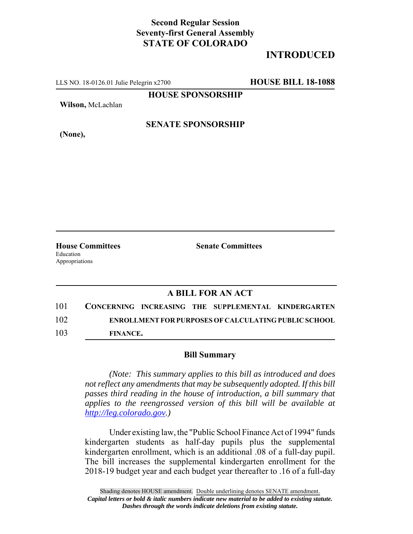## **Second Regular Session Seventy-first General Assembly STATE OF COLORADO**

# **INTRODUCED**

LLS NO. 18-0126.01 Julie Pelegrin x2700 **HOUSE BILL 18-1088**

**HOUSE SPONSORSHIP**

**Wilson,** McLachlan

**(None),**

#### **SENATE SPONSORSHIP**

Education Appropriations

**House Committees Senate Committees** 

### **A BILL FOR AN ACT**

| 101 |                 |  | CONCERNING INCREASING THE SUPPLEMENTAL KINDERGARTEN         |
|-----|-----------------|--|-------------------------------------------------------------|
| 102 |                 |  | <b>ENROLLMENT FOR PURPOSES OF CALCULATING PUBLIC SCHOOL</b> |
| 103 | <b>FINANCE.</b> |  |                                                             |

#### **Bill Summary**

*(Note: This summary applies to this bill as introduced and does not reflect any amendments that may be subsequently adopted. If this bill passes third reading in the house of introduction, a bill summary that applies to the reengrossed version of this bill will be available at http://leg.colorado.gov.)*

Under existing law, the "Public School Finance Act of 1994" funds kindergarten students as half-day pupils plus the supplemental kindergarten enrollment, which is an additional .08 of a full-day pupil. The bill increases the supplemental kindergarten enrollment for the 2018-19 budget year and each budget year thereafter to .16 of a full-day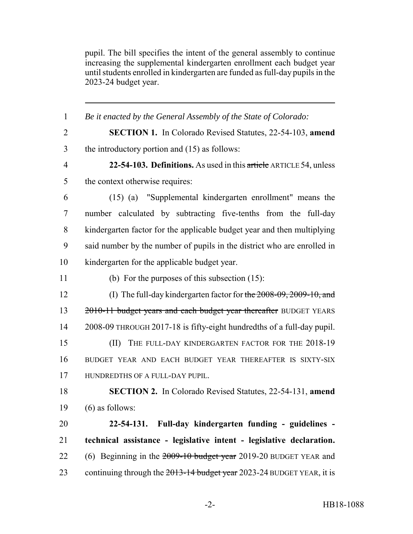pupil. The bill specifies the intent of the general assembly to continue increasing the supplemental kindergarten enrollment each budget year until students enrolled in kindergarten are funded as full-day pupils in the 2023-24 budget year.

 *Be it enacted by the General Assembly of the State of Colorado:* **SECTION 1.** In Colorado Revised Statutes, 22-54-103, **amend** the introductory portion and (15) as follows: **22-54-103. Definitions.** As used in this article ARTICLE 54, unless 5 the context otherwise requires: (15) (a) "Supplemental kindergarten enrollment" means the number calculated by subtracting five-tenths from the full-day kindergarten factor for the applicable budget year and then multiplying said number by the number of pupils in the district who are enrolled in kindergarten for the applicable budget year. (b) For the purposes of this subsection (15): (I) The full-day kindergarten factor for the 2008-09, 2009-10, and 13 2010-11 budget years and each budget year thereafter BUDGET YEARS 2008-09 THROUGH 2017-18 is fifty-eight hundredths of a full-day pupil. 15 (II) THE FULL-DAY KINDERGARTEN FACTOR FOR THE 2018-19 BUDGET YEAR AND EACH BUDGET YEAR THEREAFTER IS SIXTY-SIX HUNDREDTHS OF A FULL-DAY PUPIL. **SECTION 2.** In Colorado Revised Statutes, 22-54-131, **amend**  $(6)$  as follows: **22-54-131. Full-day kindergarten funding - guidelines - technical assistance - legislative intent - legislative declaration.** 22 (6) Beginning in the  $2009-10$  budget year 2019-20 BUDGET YEAR and 23 continuing through the 2013-14 budget year 2023-24 BUDGET YEAR, it is